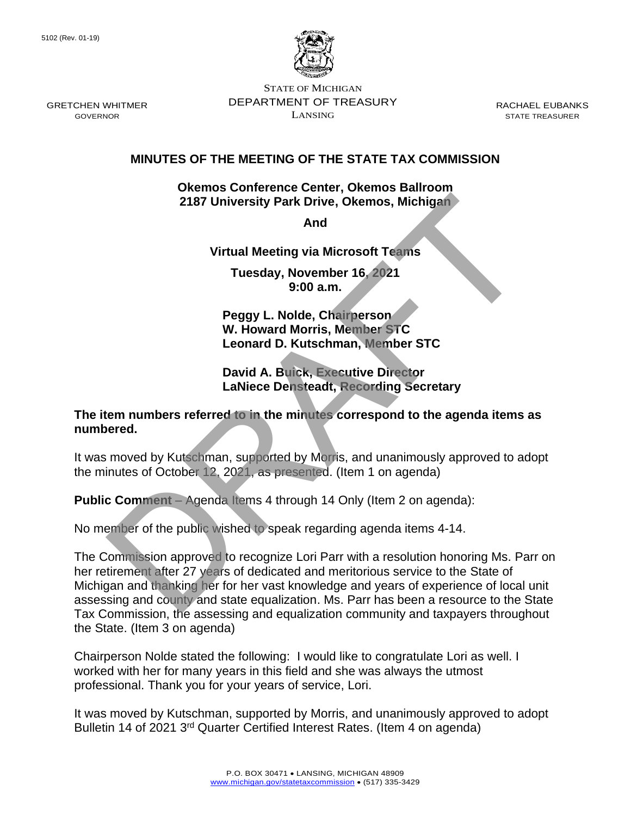

STATE OF MICHIGAN DEPARTMENT OF TREASURY LANSING

RACHAEL EUBANKS STATE TREASURER

## **MINUTES OF THE MEETING OF THE STATE TAX COMMISSION**

**Okemos Conference Center, Okemos Ballroom 2187 University Park Drive, Okemos, Michigan**

**And** 

**Virtual Meeting via Microsoft Teams**

**Tuesday, November 16, 2021 9:00 a.m.**

**Peggy L. Nolde, Chairperson W. Howard Morris, Member STC Leonard D. Kutschman, Member STC**

**David A. Buick, Executive Director LaNiece Densteadt, Recording Secretary**

**The item numbers referred to in the minutes correspond to the agenda items as numbered.**

It was moved by Kutschman, supported by Morris, and unanimously approved to adopt the minutes of October 12, 2021, as presented. (Item 1 on agenda)

**Public Comment** – Agenda Items 4 through 14 Only (Item 2 on agenda):

No member of the public wished to speak regarding agenda items 4-14.

The Commission approved to recognize Lori Parr with a resolution honoring Ms. Parr on her retirement after 27 years of dedicated and meritorious service to the State of Michigan and thanking her for her vast knowledge and years of experience of local unit assessing and county and state equalization. Ms. Parr has been a resource to the State Tax Commission, the assessing and equalization community and taxpayers throughout the State. (Item 3 on agenda) 2187 University Park Drive, Okemos, Michigan<br>
And<br>
Microsoft Teams<br>
Tuesday, November 16, 2021<br>
9:00 a.m.<br>
Peggy L. Nolde, Chairperson<br>
W. Howard Morris, Member STC<br>
Leonard D. Kutschman, Member STC<br>
David A. Buick, Except

Chairperson Nolde stated the following: I would like to congratulate Lori as well. I worked with her for many years in this field and she was always the utmost professional. Thank you for your years of service, Lori.

It was moved by Kutschman, supported by Morris, and unanimously approved to adopt Bulletin 14 of 2021 3<sup>rd</sup> Quarter Certified Interest Rates. (Item 4 on agenda)

GRETCHEN WHITMER GOVERNOR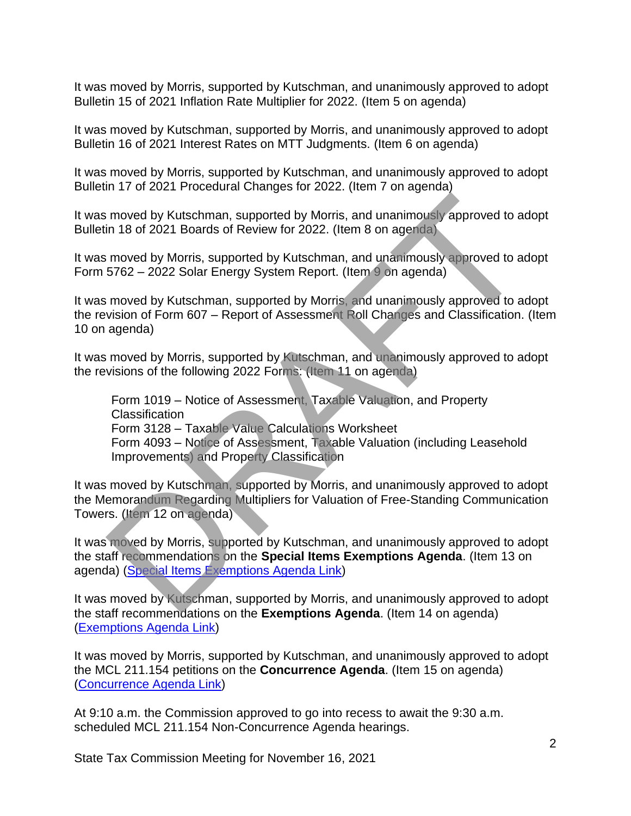It was moved by Morris, supported by Kutschman, and unanimously approved to adopt Bulletin 15 of 2021 Inflation Rate Multiplier for 2022. (Item 5 on agenda)

It was moved by Kutschman, supported by Morris, and unanimously approved to adopt Bulletin 16 of 2021 Interest Rates on MTT Judgments. (Item 6 on agenda)

It was moved by Morris, supported by Kutschman, and unanimously approved to adopt Bulletin 17 of 2021 Procedural Changes for 2022. (Item 7 on agenda)

It was moved by Kutschman, supported by Morris, and unanimously approved to adopt Bulletin 18 of 2021 Boards of Review for 2022. (Item 8 on agenda)

It was moved by Morris, supported by Kutschman, and unanimously approved to adopt Form 5762 – 2022 Solar Energy System Report. (Item 9 on agenda)

It was moved by Kutschman, supported by Morris, and unanimously approved to adopt the revision of Form 607 – Report of Assessment Roll Changes and Classification. (Item 10 on agenda)

It was moved by Morris, supported by Kutschman, and unanimously approved to adopt the revisions of the following 2022 Forms: (Item 11 on agenda)

Form 1019 – Notice of Assessment, Taxable Valuation, and Property **Classification** Form 3128 – Taxable Value Calculations Worksheet Form 4093 – Notice of Assessment, Taxable Valuation (including Leasehold Improvements) and Property Classification moved by Kutschman, supported by Morris, and unanimously approved to a<br>in 18 of 2021 Boards of Review for 2022. (Item 8 on agenda)<br>moved by Morris, supported by Kutschman, and unanimously approved to a<br>5762 – 2022 Solar En

It was moved by Kutschman, supported by Morris, and unanimously approved to adopt the Memorandum Regarding Multipliers for Valuation of Free-Standing Communication Towers. (Item 12 on agenda)

It was moved by Morris, supported by Kutschman, and unanimously approved to adopt the staff recommendations on the **Special Items Exemptions Agenda**. (Item 13 on agenda) (Special Items Exemptions Agenda Link)

It was moved by Kutschman, supported by Morris, and unanimously approved to adopt the staff recommendations on the **Exemptions Agenda**. (Item 14 on agenda) [\(Exemptions Agenda Link\)](https://www.michigan.gov/documents/treasury/14_Exemptions_Agenda_740715_7.pdf)

It was moved by Morris, supported by Kutschman, and unanimously approved to adopt the MCL 211.154 petitions on the **Concurrence Agenda**. (Item 15 on agenda) [\(Concurrence](https://www.michigan.gov/documents/treasury/15_Concurrence_Agenda_740716_7.pdf) Agenda Link)

At 9:10 a.m. the Commission approved to go into recess to await the 9:30 a.m. scheduled MCL 211.154 Non-Concurrence Agenda hearings.

State Tax Commission Meeting for November 16, 2021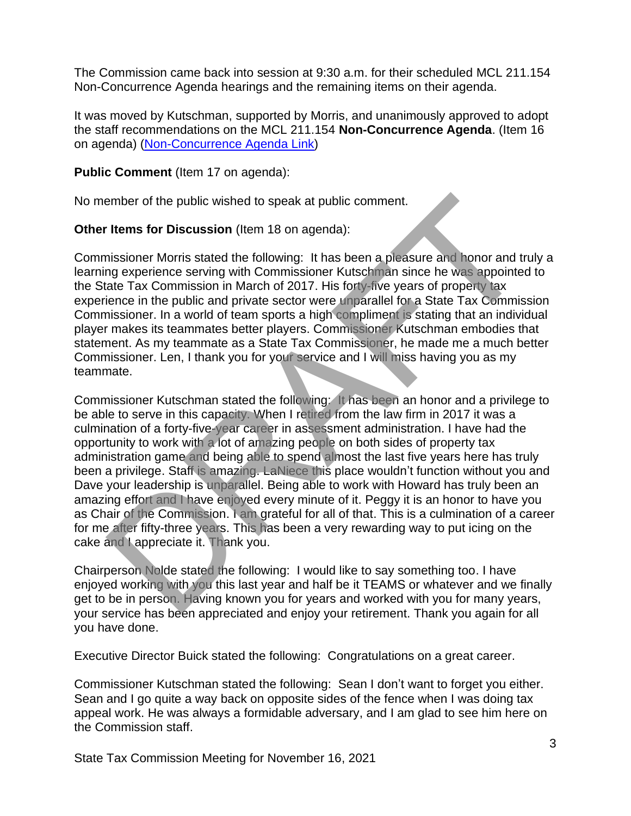The Commission came back into session at 9:30 a.m. for their scheduled MCL 211.154 Non-Concurrence Agenda hearings and the remaining items on their agenda.

It was moved by Kutschman, supported by Morris, and unanimously approved to adopt the staff recommendations on the MCL 211.154 **Non-Concurrence Agenda**. (Item 16 on agenda) [\(Non-Concurrence Agenda Link\)](https://www.michigan.gov/documents/treasury/16_NonConcurrence_Agenda_740717_7.pdf)

## **Public Comment** (Item 17 on agenda):

No member of the public wished to speak at public comment.

**Other Items for Discussion** (Item 18 on agenda):

Commissioner Morris stated the following: It has been a pleasure and honor and truly a learning experience serving with Commissioner Kutschman since he was appointed to the State Tax Commission in March of 2017. His forty-five years of property tax experience in the public and private sector were unparallel for a State Tax Commission Commissioner. In a world of team sports a high compliment is stating that an individual player makes its teammates better players. Commissioner Kutschman embodies that statement. As my teammate as a State Tax Commissioner, he made me a much better Commissioner. Len, I thank you for your service and I will miss having you as my teammate.

Commissioner Kutschman stated the following: It has been an honor and a privilege to be able to serve in this capacity. When I retired from the law firm in 2017 it was a culmination of a forty-five-year career in assessment administration. I have had the opportunity to work with a lot of amazing people on both sides of property tax administration game and being able to spend almost the last five years here has truly been a privilege. Staff is amazing. LaNiece this place wouldn't function without you and Dave your leadership is unparallel. Being able to work with Howard has truly been an amazing effort and I have enjoyed every minute of it. Peggy it is an honor to have you as Chair of the Commission. I am grateful for all of that. This is a culmination of a career for me after fifty-three years. This has been a very rewarding way to put icing on the cake and I appreciate it. Thank you. ember of the public wished to speak at public comment.<br>
Items for Discussion (Item 18 on agenda):<br>
inissioner Morris stated the following: It has been a pleasure and honor and tr<br>
ing experience serving with Commissioner K

Chairperson Nolde stated the following: I would like to say something too. I have enjoyed working with you this last year and half be it TEAMS or whatever and we finally get to be in person. Having known you for years and worked with you for many years, your service has been appreciated and enjoy your retirement. Thank you again for all you have done.

Executive Director Buick stated the following: Congratulations on a great career.

Commissioner Kutschman stated the following: Sean I don't want to forget you either. Sean and I go quite a way back on opposite sides of the fence when I was doing tax appeal work. He was always a formidable adversary, and I am glad to see him here on the Commission staff.